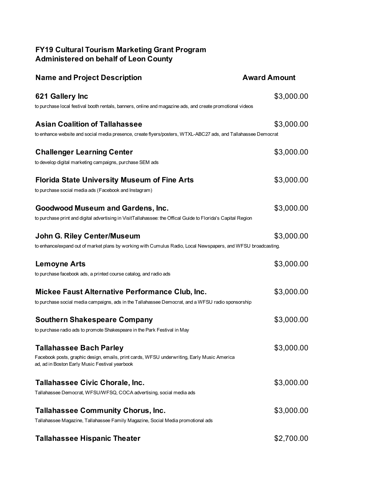## **FY19 Cultural Tourism Marketing Grant Program Administered on behalf of Leon County**

| <b>Name and Project Description</b>                                                                                                           | <b>Award Amount</b> |
|-----------------------------------------------------------------------------------------------------------------------------------------------|---------------------|
| 621 Gallery Inc                                                                                                                               | \$3,000.00          |
| to purchase local festival booth rentals, banners, online and magazine ads, and create promotional videos                                     |                     |
| <b>Asian Coalition of Tallahassee</b>                                                                                                         | \$3,000.00          |
| to enhance website and social media presence, create flyers/posters, WTXL-ABC27 ads, and Tallahassee Democrat                                 |                     |
| <b>Challenger Learning Center</b>                                                                                                             | \$3,000.00          |
| to develop digital marketing campaigns, purchase SEM ads                                                                                      |                     |
| <b>Florida State University Museum of Fine Arts</b>                                                                                           | \$3,000.00          |
| to purchase social media ads (Facebook and Instagram)                                                                                         |                     |
| <b>Goodwood Museum and Gardens, Inc.</b>                                                                                                      | \$3,000.00          |
| to purchase print and digital advertising in VisitTallahassee: the Offical Guide to Florida's Capital Region                                  |                     |
| <b>John G. Riley Center/Museum</b>                                                                                                            | \$3,000.00          |
| to enhance/expand out of market plans by working with Cumulus Radio, Local Newspapers, and WFSU broadcasting.                                 |                     |
| <b>Lemoyne Arts</b>                                                                                                                           | \$3,000.00          |
| to purchase facebook ads, a printed course catalog, and radio ads                                                                             |                     |
| Mickee Faust Alternative Performance Club, Inc.                                                                                               | \$3,000.00          |
| to purchase social media campaigns, ads in the Tallahassee Democrat, and a WFSU radio sponsorship                                             |                     |
| <b>Southern Shakespeare Company</b>                                                                                                           | \$3,000.00          |
| to purchase radio ads to promote Shakespeare in the Park Festival in May                                                                      |                     |
| <b>Tallahassee Bach Parley</b>                                                                                                                | \$3,000.00          |
| Facebook posts, graphic design, emails, print cards, WFSU underwriting, Early Music America<br>ad, ad in Boston Early Music Festival yearbook |                     |
| Tallahassee Civic Chorale, Inc.                                                                                                               | \$3,000.00          |
| Tallahassee Democrat, WFSU/WFSQ, COCA advertising, social media ads                                                                           |                     |
| <b>Tallahassee Community Chorus, Inc.</b>                                                                                                     | \$3,000.00          |
| Tallahassee Magazine, Tallahassee Family Magazine, Social Media promotional ads                                                               |                     |
| <b>Tallahassee Hispanic Theater</b>                                                                                                           | \$2,700.00          |